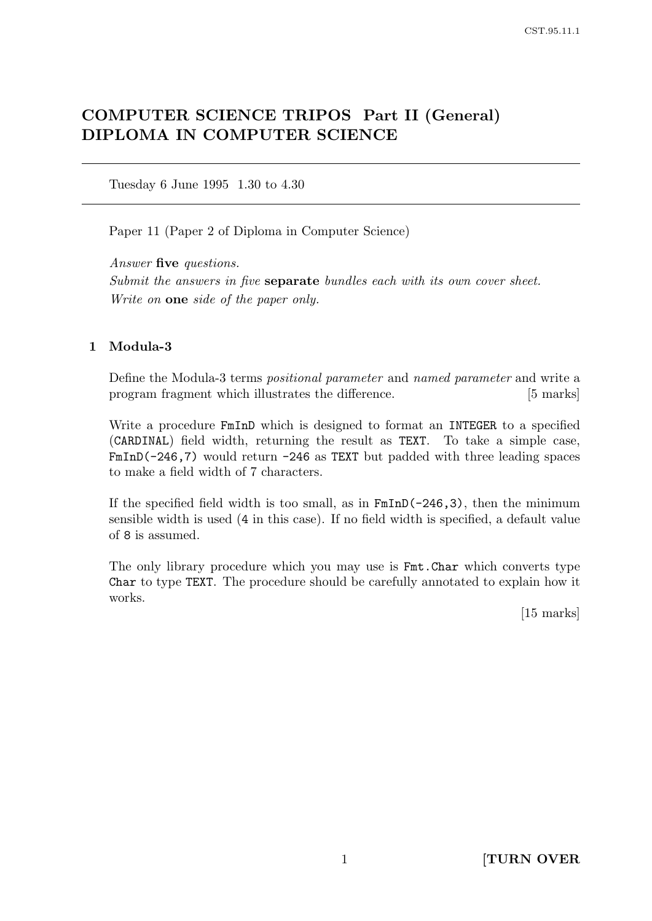# COMPUTER SCIENCE TRIPOS Part II (General) DIPLOMA IN COMPUTER SCIENCE

Tuesday 6 June 1995 1.30 to 4.30

Paper 11 (Paper 2 of Diploma in Computer Science)

Answer five questions. Submit the answers in five **separate** bundles each with its own cover sheet. Write on **one** side of the paper only.

### 1 Modula-3

Define the Modula-3 terms positional parameter and named parameter and write a program fragment which illustrates the difference. [5 marks]

Write a procedure FmInD which is designed to format an INTEGER to a specified (CARDINAL) field width, returning the result as TEXT. To take a simple case,  $FmInD(-246,7)$  would return  $-246$  as TEXT but padded with three leading spaces to make a field width of 7 characters.

If the specified field width is too small, as in  $FmInD(-246,3)$ , then the minimum sensible width is used (4 in this case). If no field width is specified, a default value of 8 is assumed.

The only library procedure which you may use is Fmt.Char which converts type Char to type TEXT. The procedure should be carefully annotated to explain how it works.

[15 marks]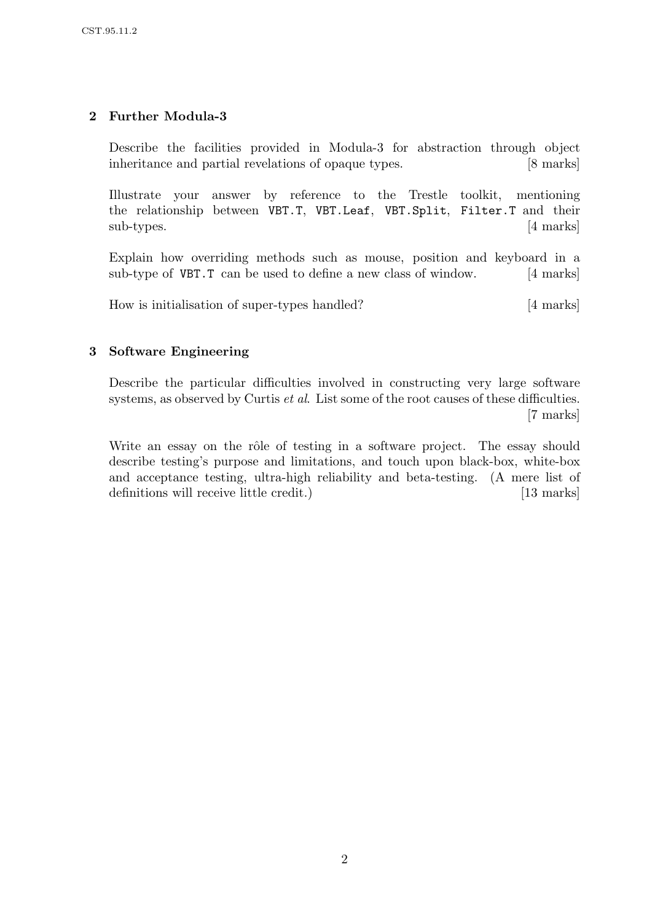### 2 Further Modula-3

Describe the facilities provided in Modula-3 for abstraction through object inheritance and partial revelations of opaque types. [8 marks]

Illustrate your answer by reference to the Trestle toolkit, mentioning the relationship between VBT.T, VBT.Leaf, VBT.Split, Filter.T and their sub-types. [4 marks]

Explain how overriding methods such as mouse, position and keyboard in a sub-type of VBT.T can be used to define a new class of window. [4 marks]

How is initialisation of super-types handled? [4 marks]

# 3 Software Engineering

Describe the particular difficulties involved in constructing very large software systems, as observed by Curtis *et al.* List some of the root causes of these difficulties. [7 marks]

Write an essay on the rôle of testing in a software project. The essay should describe testing's purpose and limitations, and touch upon black-box, white-box and acceptance testing, ultra-high reliability and beta-testing. (A mere list of definitions will receive little credit.) [13 marks]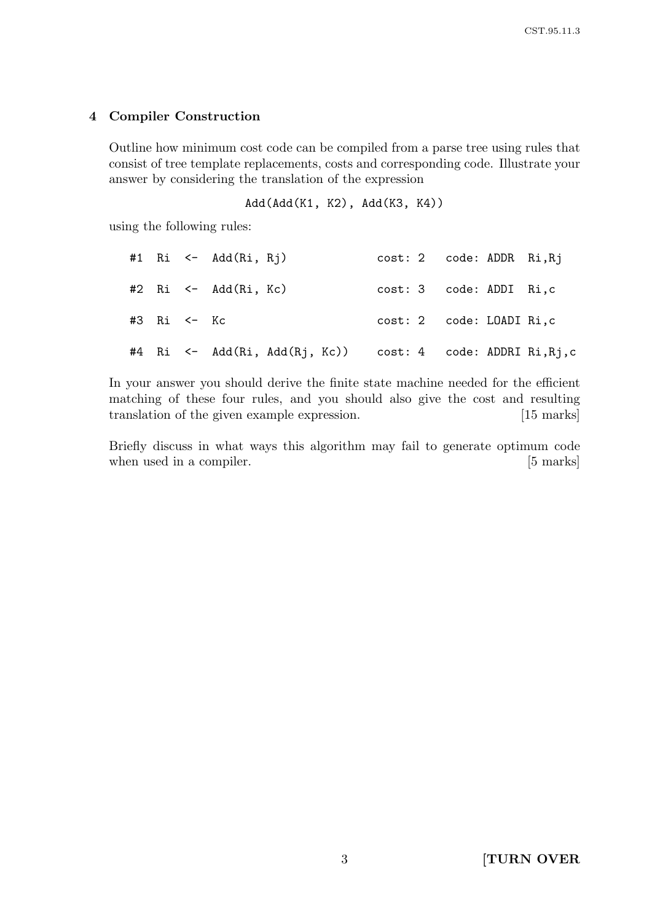### 4 Compiler Construction

Outline how minimum cost code can be compiled from a parse tree using rules that consist of tree template replacements, costs and corresponding code. Illustrate your answer by considering the translation of the expression

Add(Add(K1, K2), Add(K3, K4))

using the following rules:

|             | #1 $\mathbb{R}$ <- $\mathbb{A}$ dd $(\mathbb{R}$ i, $\mathbb{R}$ j) |                           |  | cost: 2 code: ADDR Ri, Rj |  |
|-------------|---------------------------------------------------------------------|---------------------------|--|---------------------------|--|
|             | $#2$ Ri $\leftarrow$ Add $(Ri, Kc)$                                 | cost: 3 code: ADDI Ri, c  |  |                           |  |
| #3 Ri <- Kc |                                                                     | cost: 2 code: LOADI Ri, c |  |                           |  |
|             | #4 Ri <- Add(Ri, Add(Rj, Kc))    cost: 4    code: ADDRI Ri, Rj, c   |                           |  |                           |  |

In your answer you should derive the finite state machine needed for the efficient matching of these four rules, and you should also give the cost and resulting translation of the given example expression. [15 marks]

Briefly discuss in what ways this algorithm may fail to generate optimum code when used in a compiler. [5 marks]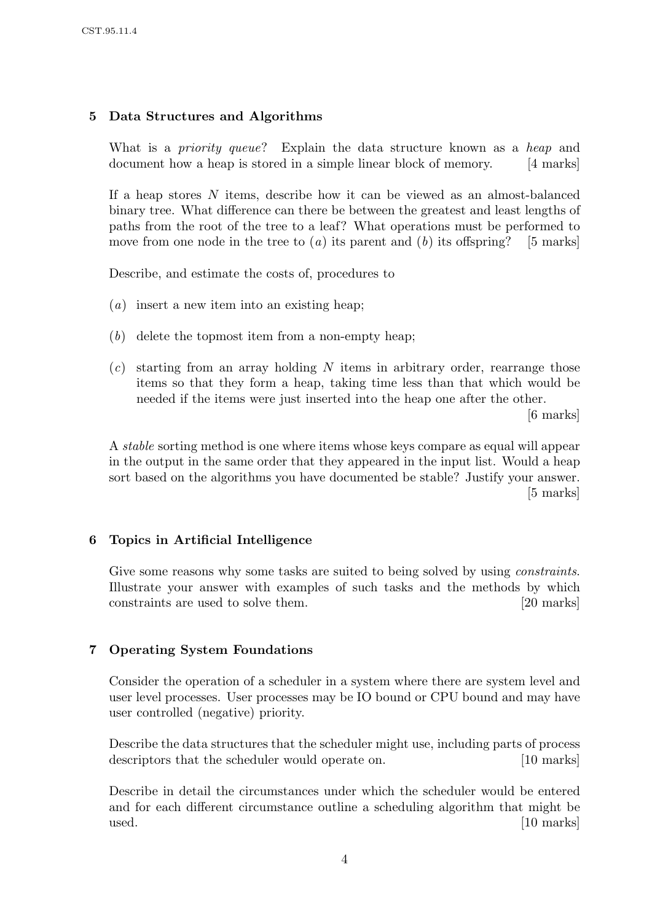### 5 Data Structures and Algorithms

What is a *priority queue*? Explain the data structure known as a *heap* and document how a heap is stored in a simple linear block of memory. [4 marks]

If a heap stores N items, describe how it can be viewed as an almost-balanced binary tree. What difference can there be between the greatest and least lengths of paths from the root of the tree to a leaf? What operations must be performed to move from one node in the tree to (a) its parent and (b) its offspring? [5 marks]

Describe, and estimate the costs of, procedures to

- (a) insert a new item into an existing heap;
- (b) delete the topmost item from a non-empty heap;
- $(c)$  starting from an array holding N items in arbitrary order, rearrange those items so that they form a heap, taking time less than that which would be needed if the items were just inserted into the heap one after the other.

[6 marks]

A stable sorting method is one where items whose keys compare as equal will appear in the output in the same order that they appeared in the input list. Would a heap sort based on the algorithms you have documented be stable? Justify your answer. [5 marks]

#### 6 Topics in Artificial Intelligence

Give some reasons why some tasks are suited to being solved by using *constraints*. Illustrate your answer with examples of such tasks and the methods by which constraints are used to solve them. [20 marks]

#### 7 Operating System Foundations

Consider the operation of a scheduler in a system where there are system level and user level processes. User processes may be IO bound or CPU bound and may have user controlled (negative) priority.

Describe the data structures that the scheduler might use, including parts of process descriptors that the scheduler would operate on. [10 marks]

Describe in detail the circumstances under which the scheduler would be entered and for each different circumstance outline a scheduling algorithm that might be used. [10 marks]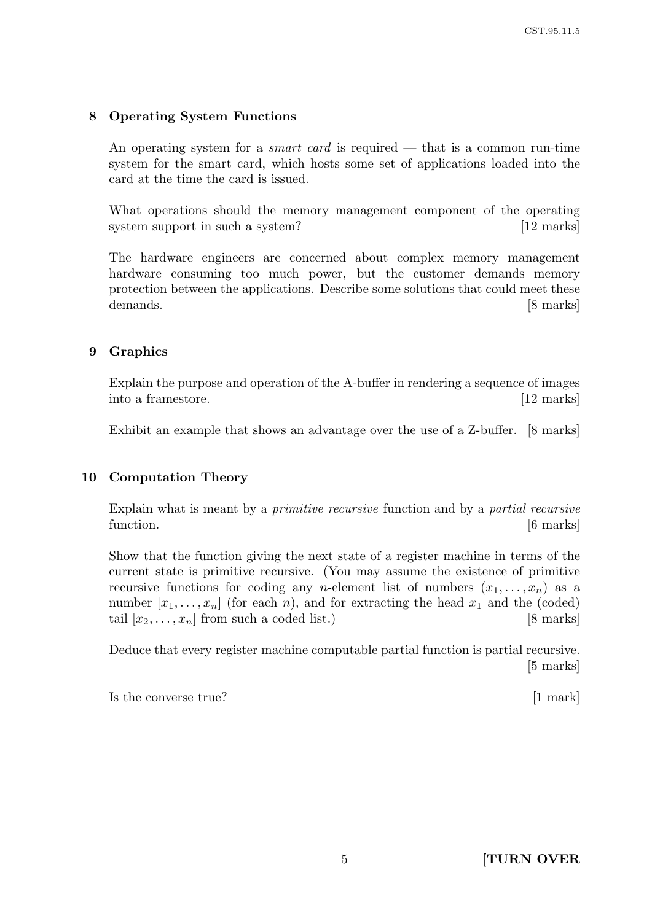# 8 Operating System Functions

An operating system for a *smart card* is required  $-$  that is a common run-time system for the smart card, which hosts some set of applications loaded into the card at the time the card is issued.

What operations should the memory management component of the operating system support in such a system? [12 marks]

The hardware engineers are concerned about complex memory management hardware consuming too much power, but the customer demands memory protection between the applications. Describe some solutions that could meet these demands. [8 marks]

# 9 Graphics

Explain the purpose and operation of the A-buffer in rendering a sequence of images into a framestore. [12 marks]

Exhibit an example that shows an advantage over the use of a Z-buffer. [8 marks]

# 10 Computation Theory

Explain what is meant by a primitive recursive function and by a partial recursive function. [6 marks]

Show that the function giving the next state of a register machine in terms of the current state is primitive recursive. (You may assume the existence of primitive recursive functions for coding any *n*-element list of numbers  $(x_1, \ldots, x_n)$  as a number  $[x_1, \ldots, x_n]$  (for each n), and for extracting the head  $x_1$  and the (coded) tail  $[x_2, \ldots, x_n]$  from such a coded list.) [8 marks]

Deduce that every register machine computable partial function is partial recursive. [5 marks]

Is the converse true? [1 mark]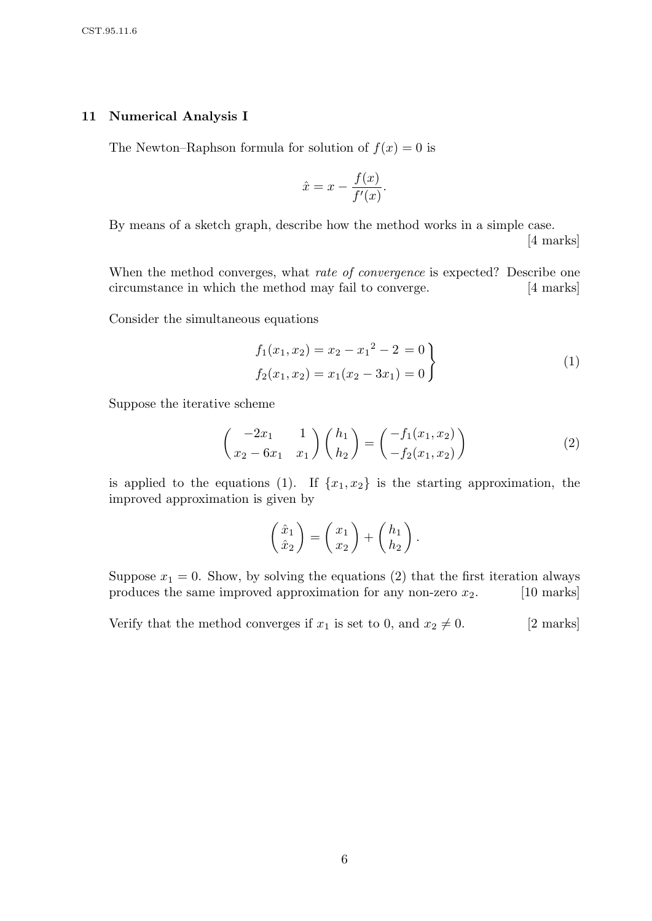#### 11 Numerical Analysis I

The Newton–Raphson formula for solution of  $f(x) = 0$  is

$$
\hat{x} = x - \frac{f(x)}{f'(x)}.
$$

By means of a sketch graph, describe how the method works in a simple case.

[4 marks]

When the method converges, what *rate of convergence* is expected? Describe one circumstance in which the method may fail to converge. [4 marks]

Consider the simultaneous equations

$$
f_1(x_1, x_2) = x_2 - x_1^2 - 2 = 0
$$
  

$$
f_2(x_1, x_2) = x_1(x_2 - 3x_1) = 0
$$
 (1)

Suppose the iterative scheme

$$
\begin{pmatrix} -2x_1 & 1 \ x_2 - 6x_1 & x_1 \end{pmatrix} \begin{pmatrix} h_1 \ h_2 \end{pmatrix} = \begin{pmatrix} -f_1(x_1, x_2) \\ -f_2(x_1, x_2) \end{pmatrix}
$$
 (2)

is applied to the equations (1). If  $\{x_1, x_2\}$  is the starting approximation, the improved approximation is given by

$$
\begin{pmatrix} \hat{x}_1 \\ \hat{x}_2 \end{pmatrix} = \begin{pmatrix} x_1 \\ x_2 \end{pmatrix} + \begin{pmatrix} h_1 \\ h_2 \end{pmatrix}.
$$

Suppose  $x_1 = 0$ . Show, by solving the equations (2) that the first iteration always produces the same improved approximation for any non-zero  $x_2$ . [10 marks]

Verify that the method converges if  $x_1$  is set to 0, and  $x_2 \neq 0$ . [2 marks]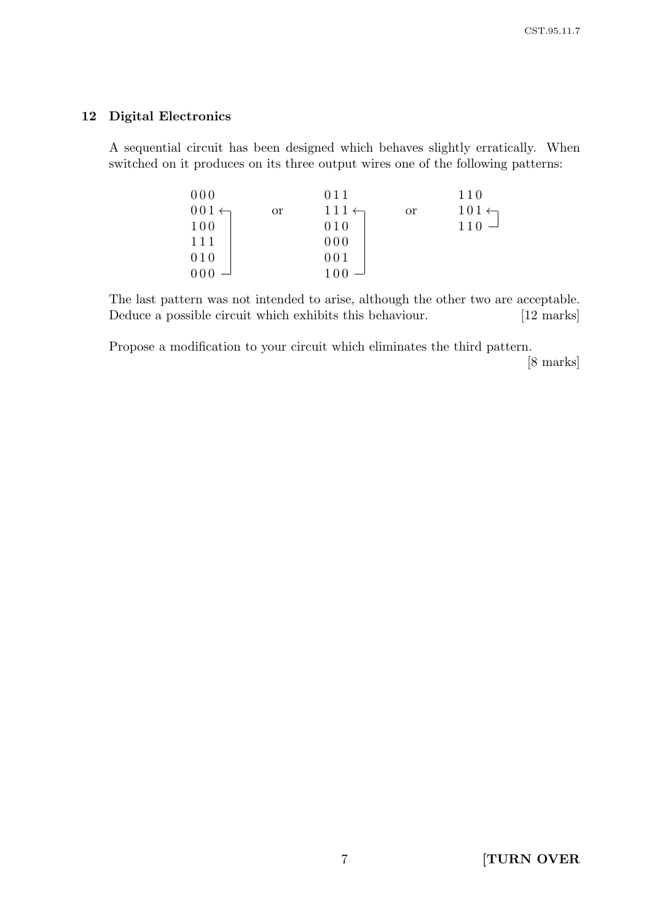#### 12 Digital Electronics

A sequential circuit has been designed which behaves slightly erratically. When switched on it produces on its three output wires one of the following patterns:

| 000              |           | 011              |           | 110              |
|------------------|-----------|------------------|-----------|------------------|
| $001 \leftarrow$ | <b>or</b> | $111 \leftarrow$ | <b>or</b> | $101 \leftarrow$ |
| 100              |           | 010              |           | 110              |
| 111              |           | 000              |           |                  |
| 010              |           | 001              |           |                  |
|                  |           |                  |           |                  |

The last pattern was not intended to arise, although the other two are acceptable. Deduce a possible circuit which exhibits this behaviour. [12 marks]

Propose a modification to your circuit which eliminates the third pattern.

[8 marks]